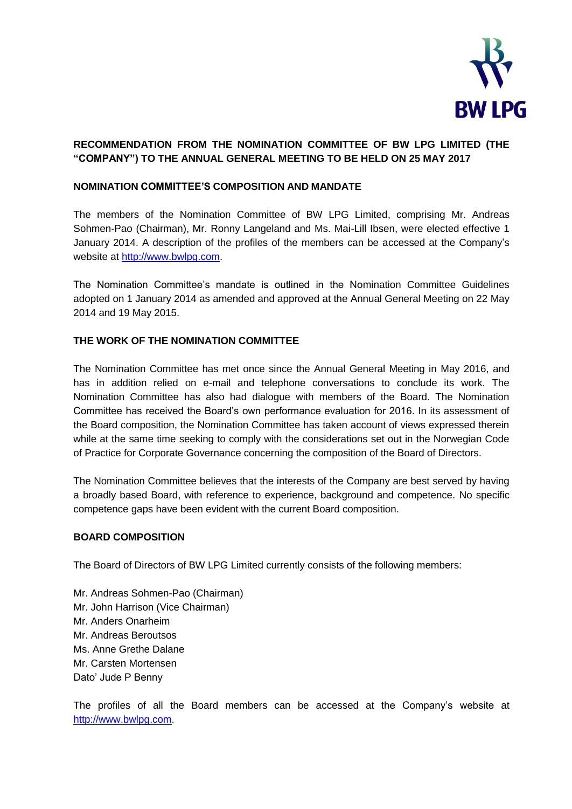

# **RECOMMENDATION FROM THE NOMINATION COMMITTEE OF BW LPG LIMITED (THE "COMPANY") TO THE ANNUAL GENERAL MEETING TO BE HELD ON 25 MAY 2017**

# **NOMINATION COMMITTEE'S COMPOSITION AND MANDATE**

The members of the Nomination Committee of BW LPG Limited, comprising Mr. Andreas Sohmen-Pao (Chairman), Mr. Ronny Langeland and Ms. Mai-Lill Ibsen, were elected effective 1 January 2014. A description of the profiles of the members can be accessed at the Company's website a[t http://www.bwlpg.com.](http://www.bwlpg.com/)

The Nomination Committee's mandate is outlined in the Nomination Committee Guidelines adopted on 1 January 2014 as amended and approved at the Annual General Meeting on 22 May 2014 and 19 May 2015.

# **THE WORK OF THE NOMINATION COMMITTEE**

The Nomination Committee has met once since the Annual General Meeting in May 2016, and has in addition relied on e-mail and telephone conversations to conclude its work. The Nomination Committee has also had dialogue with members of the Board. The Nomination Committee has received the Board's own performance evaluation for 2016. In its assessment of the Board composition, the Nomination Committee has taken account of views expressed therein while at the same time seeking to comply with the considerations set out in the Norwegian Code of Practice for Corporate Governance concerning the composition of the Board of Directors.

The Nomination Committee believes that the interests of the Company are best served by having a broadly based Board, with reference to experience, background and competence. No specific competence gaps have been evident with the current Board composition.

## **BOARD COMPOSITION**

The Board of Directors of BW LPG Limited currently consists of the following members:

Mr. Andreas Sohmen-Pao (Chairman) Mr. John Harrison (Vice Chairman) Mr. Anders Onarheim Mr. Andreas Beroutsos Ms. Anne Grethe Dalane Mr. Carsten Mortensen Dato' Jude P Benny

The profiles of all the Board members can be accessed at the Company's website at [http://www.bwlpg.com.](http://www.bwlpg.com/)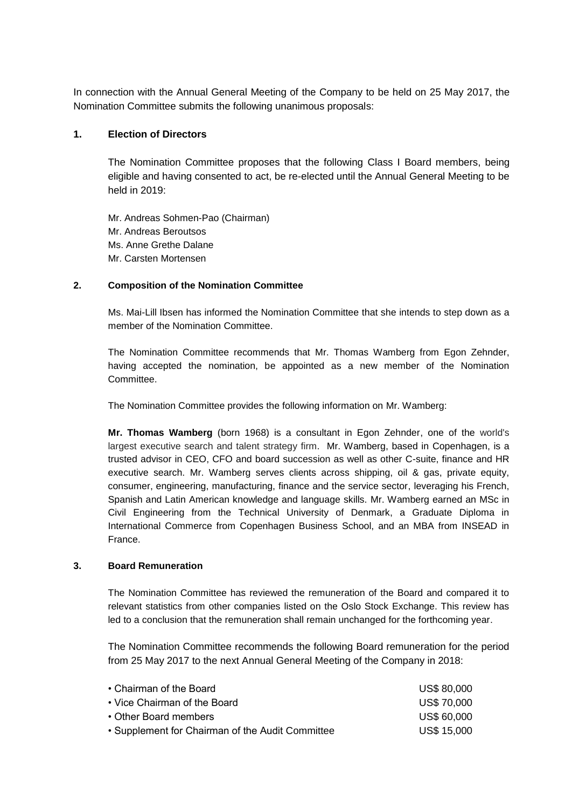In connection with the Annual General Meeting of the Company to be held on 25 May 2017, the Nomination Committee submits the following unanimous proposals:

## **1. Election of Directors**

The Nomination Committee proposes that the following Class I Board members, being eligible and having consented to act, be re-elected until the Annual General Meeting to be held in 2019:

Mr. Andreas Sohmen-Pao (Chairman) Mr. Andreas Beroutsos Ms. Anne Grethe Dalane Mr. Carsten Mortensen

#### **2. Composition of the Nomination Committee**

Ms. Mai-Lill Ibsen has informed the Nomination Committee that she intends to step down as a member of the Nomination Committee.

The Nomination Committee recommends that Mr. Thomas Wamberg from Egon Zehnder, having accepted the nomination, be appointed as a new member of the Nomination Committee.

The Nomination Committee provides the following information on Mr. Wamberg:

**Mr. Thomas Wamberg** (born 1968) is a consultant in Egon Zehnder, one of the world's largest executive search and talent strategy firm. Mr. Wamberg, based in Copenhagen, is a trusted advisor in CEO, CFO and board succession as well as other C-suite, finance and HR executive search. Mr. Wamberg serves clients across shipping, oil & gas, private equity, consumer, engineering, manufacturing, finance and the service sector, leveraging his French, Spanish and Latin American knowledge and language skills. Mr. Wamberg earned an MSc in Civil Engineering from the Technical University of Denmark, a Graduate Diploma in International Commerce from Copenhagen Business School, and an MBA from INSEAD in France.

#### **3. Board Remuneration**

The Nomination Committee has reviewed the remuneration of the Board and compared it to relevant statistics from other companies listed on the Oslo Stock Exchange. This review has led to a conclusion that the remuneration shall remain unchanged for the forthcoming year.

The Nomination Committee recommends the following Board remuneration for the period from 25 May 2017 to the next Annual General Meeting of the Company in 2018:

| <b>US\$ 80,000</b> |
|--------------------|
| <b>US\$70,000</b>  |
| US\$ 60,000        |
| US\$ 15,000        |
|                    |